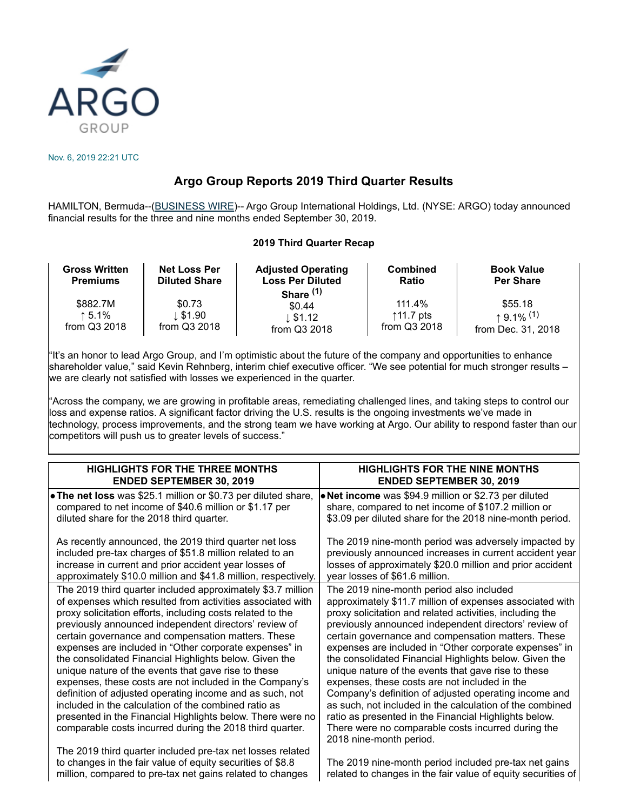

Nov. 6, 2019 22:21 UTC

# **Argo Group Reports 2019 Third Quarter Results**

HAMILTON, Bermuda--[\(BUSINESS WIRE](http://www.businesswire.com/))-- Argo Group International Holdings, Ltd. (NYSE: ARGO) today announced financial results for the three and nine months ended September 30, 2019.

## **2019 Third Quarter Recap**

| <b>Gross Written</b><br><b>Premiums</b> | <b>Net Loss Per</b><br><b>Diluted Share</b> | <b>Adjusted Operating</b><br><b>Loss Per Diluted</b><br>Share $(1)$ | <b>Combined</b><br><b>Ratio</b> | <b>Book Value</b><br><b>Per Share</b> |
|-----------------------------------------|---------------------------------------------|---------------------------------------------------------------------|---------------------------------|---------------------------------------|
| \$882.7M                                | \$0.73                                      | \$0.44                                                              | 111.4%                          | \$55.18                               |
| ↑5.1%                                   | l. \$1.90                                   | $\downarrow$ \$1.12                                                 | ↑11.7 pts                       | $+9.1\%$ <sup>(1)</sup>               |
| from Q3 2018                            | from Q3 2018                                | from Q3 2018                                                        | from Q3 2018                    | from Dec. 31, 2018                    |

"It's an honor to lead Argo Group, and I'm optimistic about the future of the company and opportunities to enhance shareholder value," said Kevin Rehnberg, interim chief executive officer. "We see potential for much stronger results – we are clearly not satisfied with losses we experienced in the quarter.

"Across the company, we are growing in profitable areas, remediating challenged lines, and taking steps to control our loss and expense ratios. A significant factor driving the U.S. results is the ongoing investments we've made in technology, process improvements, and the strong team we have working at Argo. Our ability to respond faster than our competitors will push us to greater levels of success."

| <b>HIGHLIGHTS FOR THE THREE MONTHS</b>                         | <b>HIGHLIGHTS FOR THE NINE MONTHS</b>                        |
|----------------------------------------------------------------|--------------------------------------------------------------|
| <b>ENDED SEPTEMBER 30, 2019</b>                                | <b>ENDED SEPTEMBER 30, 2019</b>                              |
| • The net loss was \$25.1 million or \$0.73 per diluted share, | . Net income was \$94.9 million or \$2.73 per diluted        |
| compared to net income of \$40.6 million or \$1.17 per         | share, compared to net income of \$107.2 million or          |
| diluted share for the 2018 third quarter.                      | \$3.09 per diluted share for the 2018 nine-month period.     |
| As recently announced, the 2019 third quarter net loss         | The 2019 nine-month period was adversely impacted by         |
| included pre-tax charges of \$51.8 million related to an       | previously announced increases in current accident year      |
| increase in current and prior accident year losses of          | losses of approximately \$20.0 million and prior accident    |
| approximately \$10.0 million and \$41.8 million, respectively. | year losses of \$61.6 million.                               |
| The 2019 third quarter included approximately \$3.7 million    | The 2019 nine-month period also included                     |
| of expenses which resulted from activities associated with     | approximately \$11.7 million of expenses associated with     |
| proxy solicitation efforts, including costs related to the     | proxy solicitation and related activities, including the     |
| previously announced independent directors' review of          | previously announced independent directors' review of        |
| certain governance and compensation matters. These             | certain governance and compensation matters. These           |
| expenses are included in "Other corporate expenses" in         | expenses are included in "Other corporate expenses" in       |
| the consolidated Financial Highlights below. Given the         | the consolidated Financial Highlights below. Given the       |
| unique nature of the events that gave rise to these            | unique nature of the events that gave rise to these          |
| expenses, these costs are not included in the Company's        | expenses, these costs are not included in the                |
| definition of adjusted operating income and as such, not       | Company's definition of adjusted operating income and        |
| included in the calculation of the combined ratio as           | as such, not included in the calculation of the combined     |
| presented in the Financial Highlights below. There were no     | ratio as presented in the Financial Highlights below.        |
| comparable costs incurred during the 2018 third quarter.       | There were no comparable costs incurred during the           |
| The 2019 third quarter included pre-tax net losses related     | 2018 nine-month period.                                      |
| to changes in the fair value of equity securities of \$8.8     | The 2019 nine-month period included pre-tax net gains        |
| million, compared to pre-tax net gains related to changes      | related to changes in the fair value of equity securities of |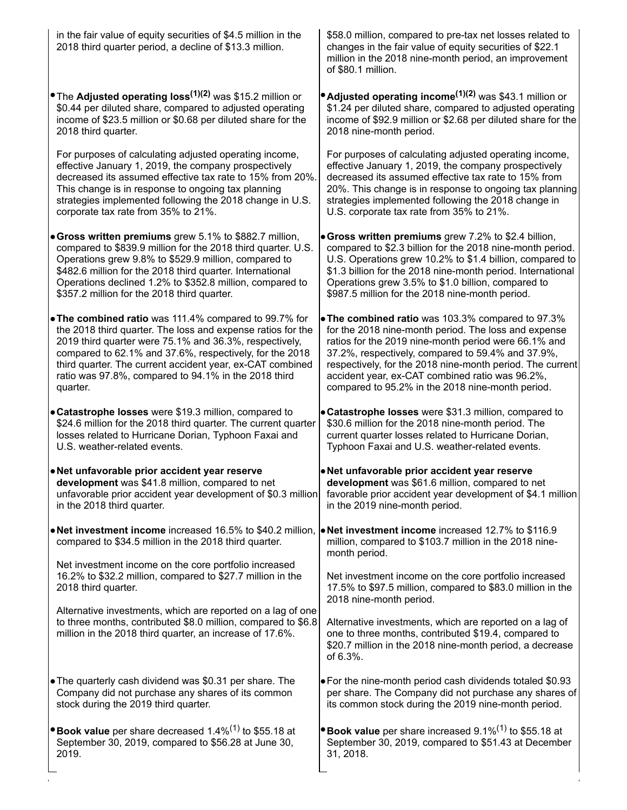| \$58.0 million, compared to pre-tax net losses related to<br>changes in the fair value of equity securities of \$22.1<br>million in the 2018 nine-month period, an improvement<br>of \$80.1 million.                                                                                                                                                                                       |
|--------------------------------------------------------------------------------------------------------------------------------------------------------------------------------------------------------------------------------------------------------------------------------------------------------------------------------------------------------------------------------------------|
| • Adjusted operating income <sup>(1)(2)</sup> was \$43.1 million or<br>\$1.24 per diluted share, compared to adjusted operating<br>income of \$92.9 million or \$2.68 per diluted share for the<br>2018 nine-month period.                                                                                                                                                                 |
| For purposes of calculating adjusted operating income,<br>effective January 1, 2019, the company prospectively<br>decreased its assumed effective tax rate to 15% from<br>20%. This change is in response to ongoing tax planning<br>strategies implemented following the 2018 change in<br>U.S. corporate tax rate from 35% to 21%.                                                       |
| • Gross written premiums grew 7.2% to \$2.4 billion,<br>compared to \$2.3 billion for the 2018 nine-month period.<br>U.S. Operations grew 10.2% to \$1.4 billion, compared to<br>\$1.3 billion for the 2018 nine-month period. International<br>Operations grew 3.5% to \$1.0 billion, compared to<br>\$987.5 million for the 2018 nine-month period.                                      |
| . The combined ratio was 103.3% compared to 97.3%<br>for the 2018 nine-month period. The loss and expense<br>ratios for the 2019 nine-month period were 66.1% and<br>37.2%, respectively, compared to 59.4% and 37.9%,<br>respectively, for the 2018 nine-month period. The current<br>accident year, ex-CAT combined ratio was 96.2%,<br>compared to 95.2% in the 2018 nine-month period. |
| • Catastrophe losses were \$31.3 million, compared to<br>\$24.6 million for the 2018 third quarter. The current quarter<br>\$30.6 million for the 2018 nine-month period. The<br>current quarter losses related to Hurricane Dorian,<br>Typhoon Faxai and U.S. weather-related events.                                                                                                     |
| . Net unfavorable prior accident year reserve<br><b>development</b> was \$61.6 million, compared to net<br>unfavorable prior accident year development of \$0.3 million<br>favorable prior accident year development of \$4.1 million<br>in the 2019 nine-month period.                                                                                                                    |
| . Net investment income increased 12.7% to \$116.9<br>• Net investment income increased 16.5% to \$40.2 million,<br>million, compared to \$103.7 million in the 2018 nine-<br>month period.                                                                                                                                                                                                |
| Net investment income on the core portfolio increased<br>17.5% to \$97.5 million, compared to \$83.0 million in the<br>2018 nine-month period.                                                                                                                                                                                                                                             |
| Alternative investments, which are reported on a lag of one<br>to three months, contributed \$8.0 million, compared to \$6.8<br>Alternative investments, which are reported on a lag of<br>one to three months, contributed \$19.4, compared to<br>\$20.7 million in the 2018 nine-month period, a decrease<br>of 6.3%.                                                                    |
| . For the nine-month period cash dividends totaled \$0.93<br>per share. The Company did not purchase any shares of<br>its common stock during the 2019 nine-month period.                                                                                                                                                                                                                  |
| $\bullet$ Book value per share increased 9.1% <sup>(1)</sup> to \$55.18 at<br>September 30, 2019, compared to \$51.43 at December<br>31, 2018.                                                                                                                                                                                                                                             |
| decreased its assumed effective tax rate to 15% from 20%.                                                                                                                                                                                                                                                                                                                                  |

 $\mathcal{O}(\log n)$  .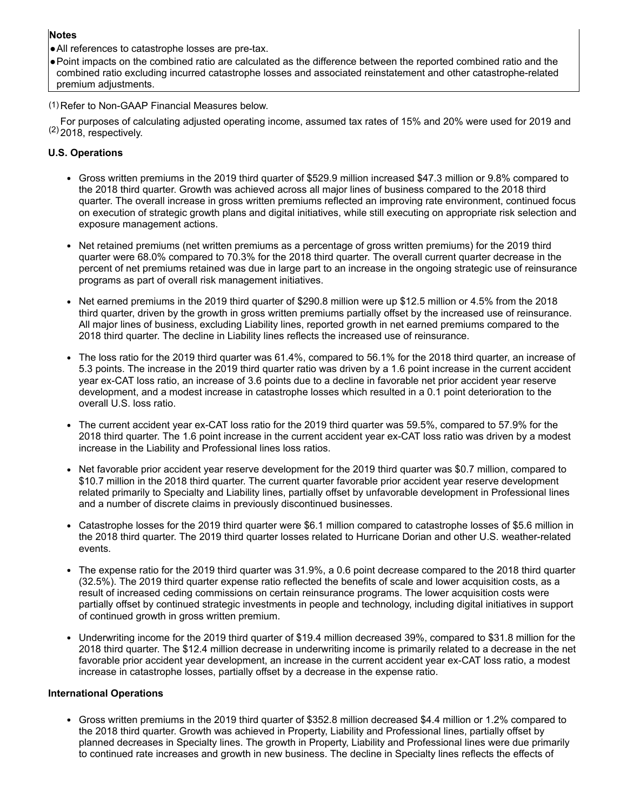## **Notes**

●All references to catastrophe losses are pre-tax.

●Point impacts on the combined ratio are calculated as the difference between the reported combined ratio and the combined ratio excluding incurred catastrophe losses and associated reinstatement and other catastrophe-related premium adjustments.

(1) Refer to Non-GAAP Financial Measures below.

 $(2)$  2018, respectively. For purposes of calculating adjusted operating income, assumed tax rates of 15% and 20% were used for 2019 and

## **U.S. Operations**

- Gross written premiums in the 2019 third quarter of \$529.9 million increased \$47.3 million or 9.8% compared to the 2018 third quarter. Growth was achieved across all major lines of business compared to the 2018 third quarter. The overall increase in gross written premiums reflected an improving rate environment, continued focus on execution of strategic growth plans and digital initiatives, while still executing on appropriate risk selection and exposure management actions.
- Net retained premiums (net written premiums as a percentage of gross written premiums) for the 2019 third quarter were 68.0% compared to 70.3% for the 2018 third quarter. The overall current quarter decrease in the percent of net premiums retained was due in large part to an increase in the ongoing strategic use of reinsurance programs as part of overall risk management initiatives.
- Net earned premiums in the 2019 third quarter of \$290.8 million were up \$12.5 million or 4.5% from the 2018 third quarter, driven by the growth in gross written premiums partially offset by the increased use of reinsurance. All major lines of business, excluding Liability lines, reported growth in net earned premiums compared to the 2018 third quarter. The decline in Liability lines reflects the increased use of reinsurance.
- The loss ratio for the 2019 third quarter was 61.4%, compared to 56.1% for the 2018 third quarter, an increase of 5.3 points. The increase in the 2019 third quarter ratio was driven by a 1.6 point increase in the current accident year ex-CAT loss ratio, an increase of 3.6 points due to a decline in favorable net prior accident year reserve development, and a modest increase in catastrophe losses which resulted in a 0.1 point deterioration to the overall U.S. loss ratio.
- The current accident year ex-CAT loss ratio for the 2019 third quarter was 59.5%, compared to 57.9% for the 2018 third quarter. The 1.6 point increase in the current accident year ex-CAT loss ratio was driven by a modest increase in the Liability and Professional lines loss ratios.
- Net favorable prior accident year reserve development for the 2019 third quarter was \$0.7 million, compared to \$10.7 million in the 2018 third quarter. The current quarter favorable prior accident year reserve development related primarily to Specialty and Liability lines, partially offset by unfavorable development in Professional lines and a number of discrete claims in previously discontinued businesses.
- Catastrophe losses for the 2019 third quarter were \$6.1 million compared to catastrophe losses of \$5.6 million in the 2018 third quarter. The 2019 third quarter losses related to Hurricane Dorian and other U.S. weather-related events.
- The expense ratio for the 2019 third quarter was 31.9%, a 0.6 point decrease compared to the 2018 third quarter (32.5%). The 2019 third quarter expense ratio reflected the benefits of scale and lower acquisition costs, as a result of increased ceding commissions on certain reinsurance programs. The lower acquisition costs were partially offset by continued strategic investments in people and technology, including digital initiatives in support of continued growth in gross written premium.
- Underwriting income for the 2019 third quarter of \$19.4 million decreased 39%, compared to \$31.8 million for the 2018 third quarter. The \$12.4 million decrease in underwriting income is primarily related to a decrease in the net favorable prior accident year development, an increase in the current accident year ex-CAT loss ratio, a modest increase in catastrophe losses, partially offset by a decrease in the expense ratio.

## **International Operations**

Gross written premiums in the 2019 third quarter of \$352.8 million decreased \$4.4 million or 1.2% compared to the 2018 third quarter. Growth was achieved in Property, Liability and Professional lines, partially offset by planned decreases in Specialty lines. The growth in Property, Liability and Professional lines were due primarily to continued rate increases and growth in new business. The decline in Specialty lines reflects the effects of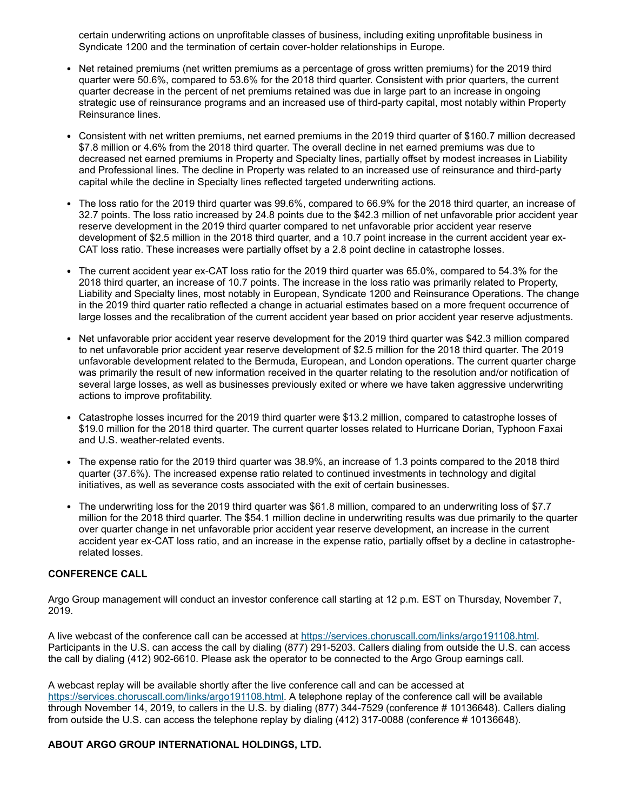certain underwriting actions on unprofitable classes of business, including exiting unprofitable business in Syndicate 1200 and the termination of certain cover-holder relationships in Europe.

- Net retained premiums (net written premiums as a percentage of gross written premiums) for the 2019 third quarter were 50.6%, compared to 53.6% for the 2018 third quarter. Consistent with prior quarters, the current quarter decrease in the percent of net premiums retained was due in large part to an increase in ongoing strategic use of reinsurance programs and an increased use of third-party capital, most notably within Property Reinsurance lines.
- Consistent with net written premiums, net earned premiums in the 2019 third quarter of \$160.7 million decreased  $\bullet$ \$7.8 million or 4.6% from the 2018 third quarter. The overall decline in net earned premiums was due to decreased net earned premiums in Property and Specialty lines, partially offset by modest increases in Liability and Professional lines. The decline in Property was related to an increased use of reinsurance and third-party capital while the decline in Specialty lines reflected targeted underwriting actions.
- The loss ratio for the 2019 third quarter was 99.6%, compared to 66.9% for the 2018 third quarter, an increase of 32.7 points. The loss ratio increased by 24.8 points due to the \$42.3 million of net unfavorable prior accident year reserve development in the 2019 third quarter compared to net unfavorable prior accident year reserve development of \$2.5 million in the 2018 third quarter, and a 10.7 point increase in the current accident year ex-CAT loss ratio. These increases were partially offset by a 2.8 point decline in catastrophe losses.
- The current accident year ex-CAT loss ratio for the 2019 third quarter was 65.0%, compared to 54.3% for the 2018 third quarter, an increase of 10.7 points. The increase in the loss ratio was primarily related to Property, Liability and Specialty lines, most notably in European, Syndicate 1200 and Reinsurance Operations. The change in the 2019 third quarter ratio reflected a change in actuarial estimates based on a more frequent occurrence of large losses and the recalibration of the current accident year based on prior accident year reserve adjustments.
- Net unfavorable prior accident year reserve development for the 2019 third quarter was \$42.3 million compared to net unfavorable prior accident year reserve development of \$2.5 million for the 2018 third quarter. The 2019 unfavorable development related to the Bermuda, European, and London operations. The current quarter charge was primarily the result of new information received in the quarter relating to the resolution and/or notification of several large losses, as well as businesses previously exited or where we have taken aggressive underwriting actions to improve profitability.
- Catastrophe losses incurred for the 2019 third quarter were \$13.2 million, compared to catastrophe losses of \$19.0 million for the 2018 third quarter. The current quarter losses related to Hurricane Dorian, Typhoon Faxai and U.S. weather-related events.
- The expense ratio for the 2019 third quarter was 38.9%, an increase of 1.3 points compared to the 2018 third quarter (37.6%). The increased expense ratio related to continued investments in technology and digital initiatives, as well as severance costs associated with the exit of certain businesses.
- The underwriting loss for the 2019 third quarter was \$61.8 million, compared to an underwriting loss of \$7.7 million for the 2018 third quarter. The \$54.1 million decline in underwriting results was due primarily to the quarter over quarter change in net unfavorable prior accident year reserve development, an increase in the current accident year ex-CAT loss ratio, and an increase in the expense ratio, partially offset by a decline in catastropherelated losses.

## **CONFERENCE CALL**

Argo Group management will conduct an investor conference call starting at 12 p.m. EST on Thursday, November 7, 2019.

A live webcast of the conference call can be accessed at <https://services.choruscall.com/links/argo191108.html>. Participants in the U.S. can access the call by dialing (877) 291-5203. Callers dialing from outside the U.S. can access the call by dialing (412) 902-6610. Please ask the operator to be connected to the Argo Group earnings call.

A webcast replay will be available shortly after the live conference call and can be accessed at <https://services.choruscall.com/links/argo191108.html>. A telephone replay of the conference call will be available through November 14, 2019, to callers in the U.S. by dialing (877) 344-7529 (conference # 10136648). Callers dialing from outside the U.S. can access the telephone replay by dialing (412) 317-0088 (conference # 10136648).

## **ABOUT ARGO GROUP INTERNATIONAL HOLDINGS, LTD.**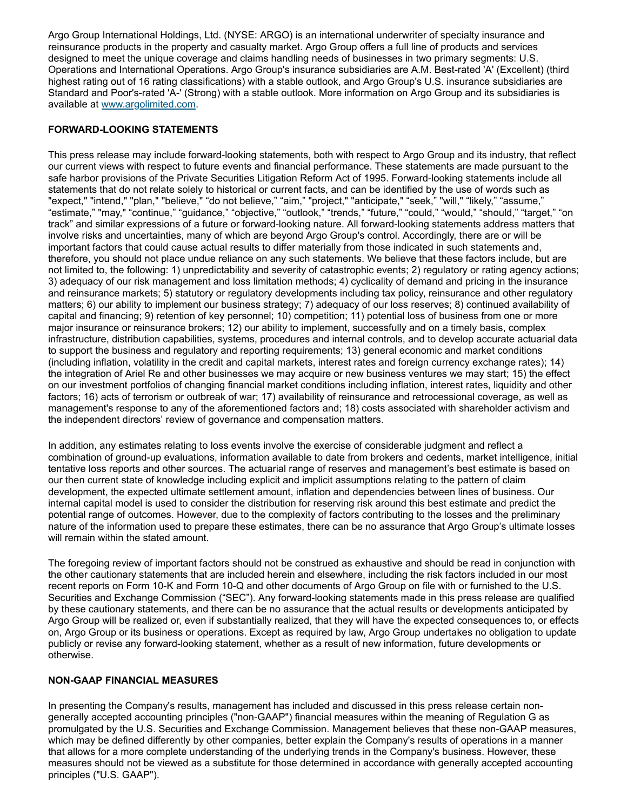Argo Group International Holdings, Ltd. (NYSE: ARGO) is an international underwriter of specialty insurance and reinsurance products in the property and casualty market. Argo Group offers a full line of products and services designed to meet the unique coverage and claims handling needs of businesses in two primary segments: U.S. Operations and International Operations. Argo Group's insurance subsidiaries are A.M. Best-rated 'A' (Excellent) (third highest rating out of 16 rating classifications) with a stable outlook, and Argo Group's U.S. insurance subsidiaries are Standard and Poor's-rated 'A-' (Strong) with a stable outlook. More information on Argo Group and its subsidiaries is available at [www.argolimited.com](http://www.argolimited.com/).

## **FORWARD-LOOKING STATEMENTS**

This press release may include forward-looking statements, both with respect to Argo Group and its industry, that reflect our current views with respect to future events and financial performance. These statements are made pursuant to the safe harbor provisions of the Private Securities Litigation Reform Act of 1995. Forward-looking statements include all statements that do not relate solely to historical or current facts, and can be identified by the use of words such as "expect," "intend," "plan," "believe," "do not believe," "aim," "project," "anticipate," "seek," "will," "likely," "assume," "estimate," "may," "continue," "guidance," "objective," "outlook," "trends," "future," "could," "would," "should," "target," "on track" and similar expressions of a future or forward-looking nature. All forward-looking statements address matters that involve risks and uncertainties, many of which are beyond Argo Group's control. Accordingly, there are or will be important factors that could cause actual results to differ materially from those indicated in such statements and, therefore, you should not place undue reliance on any such statements. We believe that these factors include, but are not limited to, the following: 1) unpredictability and severity of catastrophic events; 2) regulatory or rating agency actions; 3) adequacy of our risk management and loss limitation methods; 4) cyclicality of demand and pricing in the insurance and reinsurance markets; 5) statutory or regulatory developments including tax policy, reinsurance and other regulatory matters; 6) our ability to implement our business strategy; 7) adequacy of our loss reserves; 8) continued availability of capital and financing; 9) retention of key personnel; 10) competition; 11) potential loss of business from one or more major insurance or reinsurance brokers; 12) our ability to implement, successfully and on a timely basis, complex infrastructure, distribution capabilities, systems, procedures and internal controls, and to develop accurate actuarial data to support the business and regulatory and reporting requirements; 13) general economic and market conditions (including inflation, volatility in the credit and capital markets, interest rates and foreign currency exchange rates); 14) the integration of Ariel Re and other businesses we may acquire or new business ventures we may start; 15) the effect on our investment portfolios of changing financial market conditions including inflation, interest rates, liquidity and other factors; 16) acts of terrorism or outbreak of war; 17) availability of reinsurance and retrocessional coverage, as well as management's response to any of the aforementioned factors and; 18) costs associated with shareholder activism and the independent directors' review of governance and compensation matters.

In addition, any estimates relating to loss events involve the exercise of considerable judgment and reflect a combination of ground-up evaluations, information available to date from brokers and cedents, market intelligence, initial tentative loss reports and other sources. The actuarial range of reserves and management's best estimate is based on our then current state of knowledge including explicit and implicit assumptions relating to the pattern of claim development, the expected ultimate settlement amount, inflation and dependencies between lines of business. Our internal capital model is used to consider the distribution for reserving risk around this best estimate and predict the potential range of outcomes. However, due to the complexity of factors contributing to the losses and the preliminary nature of the information used to prepare these estimates, there can be no assurance that Argo Group's ultimate losses will remain within the stated amount.

The foregoing review of important factors should not be construed as exhaustive and should be read in conjunction with the other cautionary statements that are included herein and elsewhere, including the risk factors included in our most recent reports on Form 10-K and Form 10-Q and other documents of Argo Group on file with or furnished to the U.S. Securities and Exchange Commission ("SEC"). Any forward-looking statements made in this press release are qualified by these cautionary statements, and there can be no assurance that the actual results or developments anticipated by Argo Group will be realized or, even if substantially realized, that they will have the expected consequences to, or effects on, Argo Group or its business or operations. Except as required by law, Argo Group undertakes no obligation to update publicly or revise any forward-looking statement, whether as a result of new information, future developments or otherwise.

### **NON-GAAP FINANCIAL MEASURES**

In presenting the Company's results, management has included and discussed in this press release certain nongenerally accepted accounting principles ("non-GAAP") financial measures within the meaning of Regulation G as promulgated by the U.S. Securities and Exchange Commission. Management believes that these non-GAAP measures, which may be defined differently by other companies, better explain the Company's results of operations in a manner that allows for a more complete understanding of the underlying trends in the Company's business. However, these measures should not be viewed as a substitute for those determined in accordance with generally accepted accounting principles ("U.S. GAAP").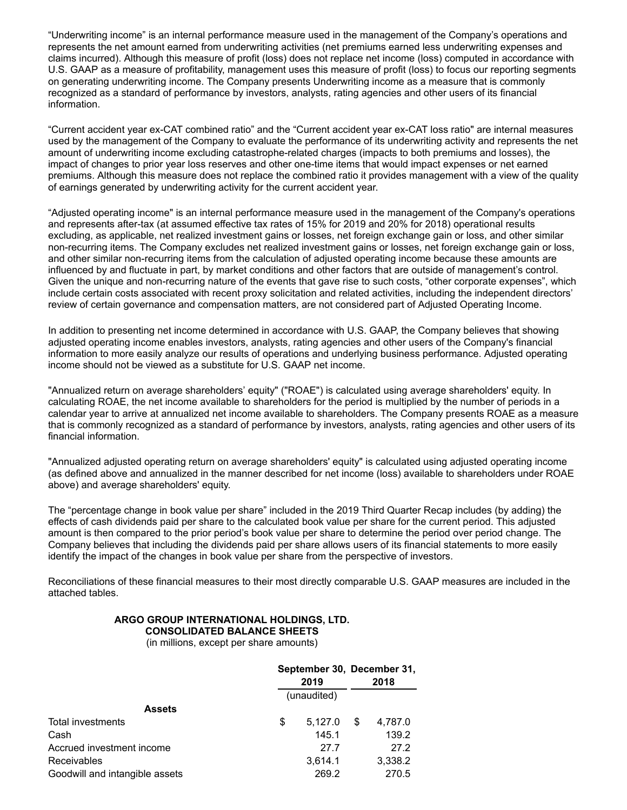"Underwriting income" is an internal performance measure used in the management of the Company's operations and represents the net amount earned from underwriting activities (net premiums earned less underwriting expenses and claims incurred). Although this measure of profit (loss) does not replace net income (loss) computed in accordance with U.S. GAAP as a measure of profitability, management uses this measure of profit (loss) to focus our reporting segments on generating underwriting income. The Company presents Underwriting income as a measure that is commonly recognized as a standard of performance by investors, analysts, rating agencies and other users of its financial information.

"Current accident year ex-CAT combined ratio" and the "Current accident year ex-CAT loss ratio" are internal measures used by the management of the Company to evaluate the performance of its underwriting activity and represents the net amount of underwriting income excluding catastrophe-related charges (impacts to both premiums and losses), the impact of changes to prior year loss reserves and other one-time items that would impact expenses or net earned premiums. Although this measure does not replace the combined ratio it provides management with a view of the quality of earnings generated by underwriting activity for the current accident year.

"Adjusted operating income" is an internal performance measure used in the management of the Company's operations and represents after-tax (at assumed effective tax rates of 15% for 2019 and 20% for 2018) operational results excluding, as applicable, net realized investment gains or losses, net foreign exchange gain or loss, and other similar non-recurring items. The Company excludes net realized investment gains or losses, net foreign exchange gain or loss, and other similar non-recurring items from the calculation of adjusted operating income because these amounts are influenced by and fluctuate in part, by market conditions and other factors that are outside of management's control. Given the unique and non-recurring nature of the events that gave rise to such costs, "other corporate expenses", which include certain costs associated with recent proxy solicitation and related activities, including the independent directors' review of certain governance and compensation matters, are not considered part of Adjusted Operating Income.

In addition to presenting net income determined in accordance with U.S. GAAP, the Company believes that showing adjusted operating income enables investors, analysts, rating agencies and other users of the Company's financial information to more easily analyze our results of operations and underlying business performance. Adjusted operating income should not be viewed as a substitute for U.S. GAAP net income.

"Annualized return on average shareholders' equity" ("ROAE") is calculated using average shareholders' equity. In calculating ROAE, the net income available to shareholders for the period is multiplied by the number of periods in a calendar year to arrive at annualized net income available to shareholders. The Company presents ROAE as a measure that is commonly recognized as a standard of performance by investors, analysts, rating agencies and other users of its financial information.

"Annualized adjusted operating return on average shareholders' equity" is calculated using adjusted operating income (as defined above and annualized in the manner described for net income (loss) available to shareholders under ROAE above) and average shareholders' equity.

The "percentage change in book value per share" included in the 2019 Third Quarter Recap includes (by adding) the effects of cash dividends paid per share to the calculated book value per share for the current period. This adjusted amount is then compared to the prior period's book value per share to determine the period over period change. The Company believes that including the dividends paid per share allows users of its financial statements to more easily identify the impact of the changes in book value per share from the perspective of investors.

Reconciliations of these financial measures to their most directly comparable U.S. GAAP measures are included in the attached tables.

## **ARGO GROUP INTERNATIONAL HOLDINGS, LTD. CONSOLIDATED BALANCE SHEETS**

(in millions, except per share amounts)

|                                | September 30, December 31,<br>2019 |             |    | 2018    |
|--------------------------------|------------------------------------|-------------|----|---------|
|                                |                                    | (unaudited) |    |         |
| <b>Assets</b>                  |                                    |             |    |         |
| Total investments              | \$                                 | 5,127.0     | \$ | 4,787.0 |
| Cash                           |                                    | 145.1       |    | 139.2   |
| Accrued investment income      |                                    | 27.7        |    | 27.2    |
| <b>Receivables</b>             |                                    | 3.614.1     |    | 3,338.2 |
| Goodwill and intangible assets |                                    | 269.2       |    | 270.5   |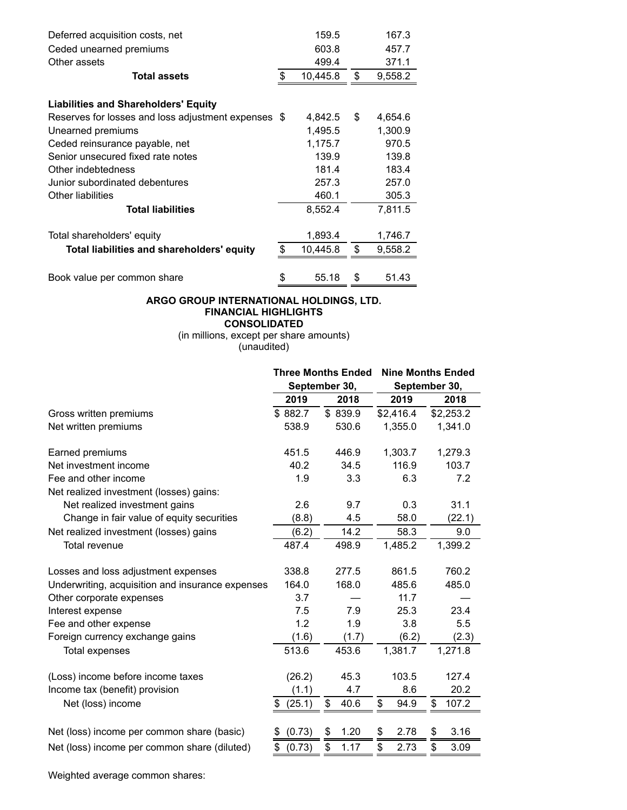| Deferred acquisition costs, net                     | 159.5          | 167.3         |
|-----------------------------------------------------|----------------|---------------|
| Ceded unearned premiums                             | 603.8          | 457.7         |
| Other assets                                        | 499.4          | 371.1         |
| <b>Total assets</b>                                 | \$<br>10,445.8 | \$<br>9,558.2 |
| <b>Liabilities and Shareholders' Equity</b>         |                |               |
| Reserves for losses and loss adjustment expenses \$ | 4,842.5        | \$<br>4,654.6 |
| Unearned premiums                                   | 1,495.5        | 1,300.9       |
| Ceded reinsurance payable, net                      | 1,175.7        | 970.5         |
| Senior unsecured fixed rate notes                   | 139.9          | 139.8         |
| Other indebtedness                                  | 181.4          | 183.4         |
| Junior subordinated debentures                      | 257.3          | 257.0         |
| Other liabilities                                   | 460.1          | 305.3         |
| <b>Total liabilities</b>                            | 8,552.4        | 7,811.5       |
| Total shareholders' equity                          | 1,893.4        | 1,746.7       |
| Total liabilities and shareholders' equity          | \$<br>10,445.8 | \$<br>9,558.2 |
|                                                     |                |               |
| Book value per common share                         | \$<br>55.18    | \$<br>51.43   |

## **ARGO GROUP INTERNATIONAL HOLDINGS, LTD. FINANCIAL HIGHLIGHTS CONSOLIDATED**

(in millions, except per share amounts) (unaudited)

|                                                  |              | <b>Three Months Ended</b> |            | <b>Nine Months Ended</b> |
|--------------------------------------------------|--------------|---------------------------|------------|--------------------------|
|                                                  |              | September 30,             |            | September 30,            |
|                                                  | 2019         | 2018                      | 2019       | 2018                     |
| Gross written premiums                           | \$882.7      | \$839.9                   | \$2,416.4  | \$2,253.2                |
| Net written premiums                             | 538.9        | 530.6                     | 1,355.0    | 1,341.0                  |
| Earned premiums                                  | 451.5        | 446.9                     | 1,303.7    | 1,279.3                  |
| Net investment income                            | 40.2         | 34.5                      | 116.9      | 103.7                    |
| Fee and other income                             | 1.9          | 3.3                       | 6.3        | 7.2                      |
| Net realized investment (losses) gains:          |              |                           |            |                          |
| Net realized investment gains                    | 2.6          | 9.7                       | 0.3        | 31.1                     |
| Change in fair value of equity securities        | (8.8)        | 4.5                       | 58.0       | (22.1)                   |
| Net realized investment (losses) gains           | (6.2)        | 14.2                      | 58.3       | 9.0                      |
| Total revenue                                    | 487.4        | 498.9                     | 1,485.2    | 1,399.2                  |
| Losses and loss adjustment expenses              | 338.8        | 277.5                     | 861.5      | 760.2                    |
| Underwriting, acquisition and insurance expenses | 164.0        | 168.0                     | 485.6      | 485.0                    |
| Other corporate expenses                         | 3.7          |                           | 11.7       |                          |
| Interest expense                                 | 7.5          | 7.9                       | 25.3       | 23.4                     |
| Fee and other expense                            | 1.2          | 1.9                       | 3.8        | 5.5                      |
| Foreign currency exchange gains                  | (1.6)        | (1.7)                     | (6.2)      | (2.3)                    |
| Total expenses                                   | 513.6        | 453.6                     | 1,381.7    | 1,271.8                  |
| (Loss) income before income taxes                | (26.2)       | 45.3                      | 103.5      | 127.4                    |
| Income tax (benefit) provision                   | (1.1)        | 4.7                       | 8.6        | 20.2                     |
| Net (loss) income                                | (25.1)<br>\$ | \$<br>40.6                | \$<br>94.9 | \$<br>107.2              |
| Net (loss) income per common share (basic)       | (0.73)<br>S  | 1.20<br>\$                | 2.78<br>\$ | 3.16<br>\$               |
| Net (loss) income per common share (diluted)     | \$<br>(0.73) | \$<br>1.17                | \$<br>2.73 | \$<br>3.09               |
|                                                  |              |                           |            |                          |

Weighted average common shares: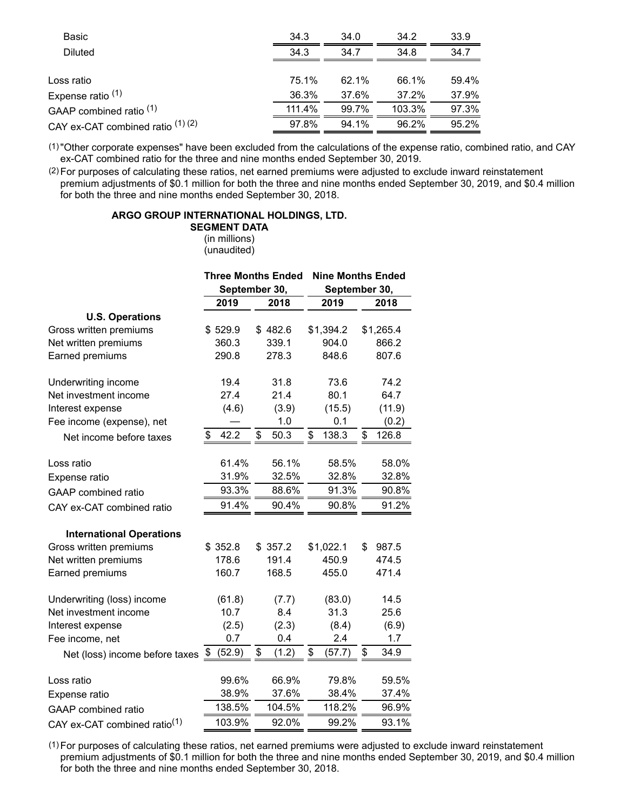| 34.3     | 34.0     | 34.2   | 33.9  |
|----------|----------|--------|-------|
| 34.3     | 34.7     | 34.8   | 34.7  |
|          |          |        |       |
| 75.1%    | 62.1%    | 66.1%  | 59.4% |
| 36.3%    | 37.6%    | 37.2%  | 37.9% |
| 111.4%   | 99.7%    | 103.3% | 97.3% |
| $97.8\%$ | $94.1\%$ | 96.2%  | 95.2% |
|          |          |        |       |

(1)"Other corporate expenses" have been excluded from the calculations of the expense ratio, combined ratio, and CAY ex-CAT combined ratio for the three and nine months ended September 30, 2019.

(2) For purposes of calculating these ratios, net earned premiums were adjusted to exclude inward reinstatement premium adjustments of \$0.1 million for both the three and nine months ended September 30, 2019, and \$0.4 million for both the three and nine months ended September 30, 2018.

#### **ARGO GROUP INTERNATIONAL HOLDINGS, LTD.**

#### **SEGMENT DATA**

(in millions) (unaudited)

|                                              |            | <b>Three Months Ended</b> | <b>Nine Months Ended</b> |               |  |  |  |  |
|----------------------------------------------|------------|---------------------------|--------------------------|---------------|--|--|--|--|
|                                              |            | September 30,             |                          | September 30, |  |  |  |  |
|                                              | 2019       | 2018                      | 2019                     | 2018          |  |  |  |  |
| <b>U.S. Operations</b>                       |            |                           |                          |               |  |  |  |  |
| Gross written premiums                       | \$529.9    | \$482.6                   | \$1,394.2                | \$1,265.4     |  |  |  |  |
| Net written premiums                         | 360.3      | 339.1                     | 904.0                    | 866.2         |  |  |  |  |
| Earned premiums                              | 290.8      | 278.3                     | 848.6                    | 807.6         |  |  |  |  |
| Underwriting income                          | 19.4       | 31.8                      | 73.6                     | 74.2          |  |  |  |  |
| Net investment income                        | 27.4       | 21.4                      | 80.1                     | 64.7          |  |  |  |  |
| Interest expense                             | (4.6)      | (3.9)                     | (15.5)                   | (11.9)        |  |  |  |  |
| Fee income (expense), net                    |            | 1.0                       | 0.1                      | (0.2)         |  |  |  |  |
| Net income before taxes                      | \$<br>42.2 | \$<br>50.3                | 138.3<br>\$              | 126.8<br>\$   |  |  |  |  |
| Loss ratio                                   | 61.4%      | 56.1%                     | 58.5%                    | 58.0%         |  |  |  |  |
| Expense ratio                                | 31.9%      | 32.5%                     | 32.8%                    | 32.8%         |  |  |  |  |
| <b>GAAP</b> combined ratio                   | 93.3%      | 88.6%                     | 91.3%                    | 90.8%         |  |  |  |  |
| CAY ex-CAT combined ratio                    | 91.4%      | 90.4%                     | 90.8%                    | 91.2%         |  |  |  |  |
| <b>International Operations</b>              |            |                           |                          |               |  |  |  |  |
| Gross written premiums                       | \$352.8    | \$357.2                   | \$1,022.1                | \$<br>987.5   |  |  |  |  |
| Net written premiums                         | 178.6      | 191.4                     | 450.9                    | 474.5         |  |  |  |  |
| Earned premiums                              | 160.7      | 168.5                     | 455.0                    | 471.4         |  |  |  |  |
| Underwriting (loss) income                   | (61.8)     | (7.7)                     | (83.0)                   | 14.5          |  |  |  |  |
| Net investment income                        | 10.7       | 8.4                       | 31.3                     | 25.6          |  |  |  |  |
| Interest expense                             | (2.5)      | (2.3)                     | (8.4)                    | (6.9)         |  |  |  |  |
| Fee income, net                              | 0.7        | 0.4                       | 2.4                      | 1.7           |  |  |  |  |
| Net (loss) income before taxes $\frac{\$}{}$ | (52.9)     | \$<br>(1.2)               | \$<br>(57.7)             | \$<br>34.9    |  |  |  |  |
| Loss ratio                                   | 99.6%      | 66.9%                     | 79.8%                    | 59.5%         |  |  |  |  |
| Expense ratio                                | 38.9%      | 37.6%                     | 38.4%                    | 37.4%         |  |  |  |  |
| <b>GAAP</b> combined ratio                   | 138.5%     | 104.5%                    | 118.2%                   | 96.9%         |  |  |  |  |
| CAY ex-CAT combined ratio <sup>(1)</sup>     | 103.9%     | 92.0%                     | 99.2%                    | 93.1%         |  |  |  |  |

(1) For purposes of calculating these ratios, net earned premiums were adjusted to exclude inward reinstatement premium adjustments of \$0.1 million for both the three and nine months ended September 30, 2019, and \$0.4 million for both the three and nine months ended September 30, 2018.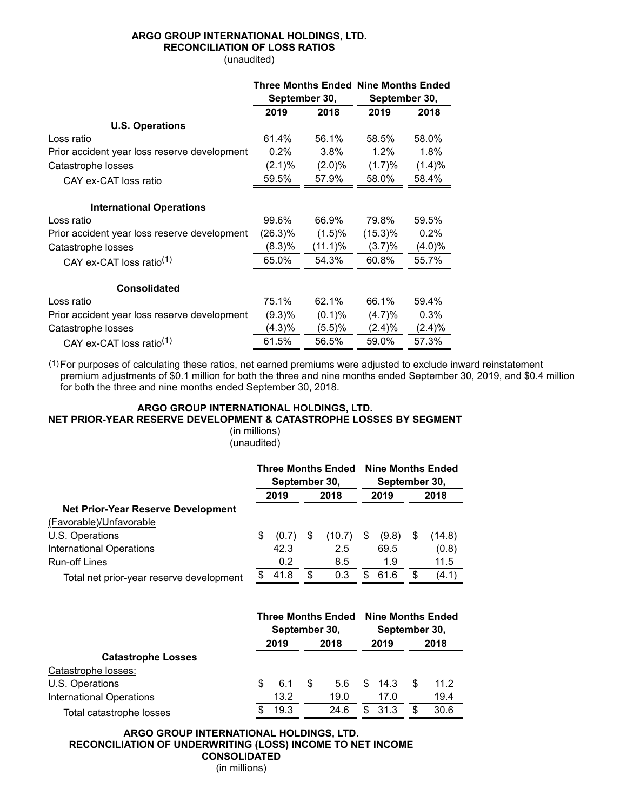#### **ARGO GROUP INTERNATIONAL HOLDINGS, LTD. RECONCILIATION OF LOSS RATIOS** (unaudited)

|                                              |           |               | <b>Three Months Ended Nine Months Ended</b> |           |  |
|----------------------------------------------|-----------|---------------|---------------------------------------------|-----------|--|
|                                              |           | September 30, | September 30,                               |           |  |
|                                              | 2019      | 2018          | 2019                                        | 2018      |  |
| <b>U.S. Operations</b>                       |           |               |                                             |           |  |
| Loss ratio                                   | 61.4%     | 56.1%         | 58.5%                                       | 58.0%     |  |
| Prior accident year loss reserve development | 0.2%      | 3.8%          | 1.2%                                        | 1.8%      |  |
| Catastrophe losses                           | (2.1)%    | (2.0)%        | (1.7)%                                      | (1.4)%    |  |
| CAY ex-CAT loss ratio                        | 59.5%     | 57.9%         | 58.0%                                       | 58.4%     |  |
| <b>International Operations</b>              |           |               |                                             |           |  |
| Loss ratio                                   | 99.6%     | 66.9%         | 79.8%                                       | 59.5%     |  |
| Prior accident year loss reserve development | (26.3)%   | (1.5)%        | $(15.3)\%$                                  | 0.2%      |  |
| Catastrophe losses                           | (8.3)%    | (11.1)%       | (3.7)%                                      | $(4.0)\%$ |  |
| CAY ex-CAT loss ratio <sup>(1)</sup>         | 65.0%     | 54.3%         | 60.8%                                       | 55.7%     |  |
| <b>Consolidated</b>                          |           |               |                                             |           |  |
| Loss ratio                                   | 75.1%     | 62.1%         | 66.1%                                       | 59.4%     |  |
| Prior accident year loss reserve development | $(9.3)\%$ | (0.1)%        | (4.7)%                                      | 0.3%      |  |
| Catastrophe losses                           | (4.3)%    | (5.5)%        | (2.4)%                                      | $(2.4)\%$ |  |
| CAY ex-CAT loss ratio <sup>(1)</sup>         | 61.5%     | 56.5%         | 59.0%                                       | 57.3%     |  |

(1) For purposes of calculating these ratios, net earned premiums were adjusted to exclude inward reinstatement premium adjustments of \$0.1 million for both the three and nine months ended September 30, 2019, and \$0.4 million for both the three and nine months ended September 30, 2018.

## **ARGO GROUP INTERNATIONAL HOLDINGS, LTD.**

## **NET PRIOR-YEAR RESERVE DEVELOPMENT & CATASTROPHE LOSSES BY SEGMENT**

#### (in millions) (unaudited)

|                                          | <b>Three Months Ended</b><br>September 30, |       |      | <b>Nine Months Ended</b><br>September 30, |      |       |    |        |
|------------------------------------------|--------------------------------------------|-------|------|-------------------------------------------|------|-------|----|--------|
|                                          | 2019<br>2018                               |       | 2019 |                                           | 2018 |       |    |        |
| Net Prior-Year Reserve Development       |                                            |       |      |                                           |      |       |    |        |
| (Favorable)/Unfavorable                  |                                            |       |      |                                           |      |       |    |        |
| U.S. Operations                          | \$                                         | (0.7) | £.   | (10.7)                                    | S.   | (9.8) | S  | (14.8) |
| <b>International Operations</b>          |                                            | 42.3  |      | 2.5                                       |      | 69.5  |    | (0.8)  |
| Run-off Lines                            |                                            | 0.2   |      | 8.5                                       |      | 1.9   |    | 11.5   |
| Total net prior-year reserve development | \$.                                        | 41.8  | £.   | 0.3                                       | \$.  | 61.6  | \$ | (4.1)  |

|                           | <b>Three Months Ended</b><br>September 30, |      |      |      |      |      | <b>Nine Months Ended</b><br>September 30, |      |  |  |
|---------------------------|--------------------------------------------|------|------|------|------|------|-------------------------------------------|------|--|--|
|                           |                                            | 2019 | 2018 |      | 2019 |      | 2018                                      |      |  |  |
| <b>Catastrophe Losses</b> |                                            |      |      |      |      |      |                                           |      |  |  |
| Catastrophe losses:       |                                            |      |      |      |      |      |                                           |      |  |  |
| U.S. Operations           | S                                          | 6.1  | \$   | 5.6  | \$.  | 14.3 | \$.                                       | 11.2 |  |  |
| International Operations  |                                            | 13.2 |      | 19.0 |      | 17.0 |                                           | 19.4 |  |  |
| Total catastrophe losses  |                                            | 19.3 |      | 24.6 | \$.  | 31.3 | S                                         | 30.6 |  |  |

**ARGO GROUP INTERNATIONAL HOLDINGS, LTD. RECONCILIATION OF UNDERWRITING (LOSS) INCOME TO NET INCOME CONSOLIDATED**

(in millions)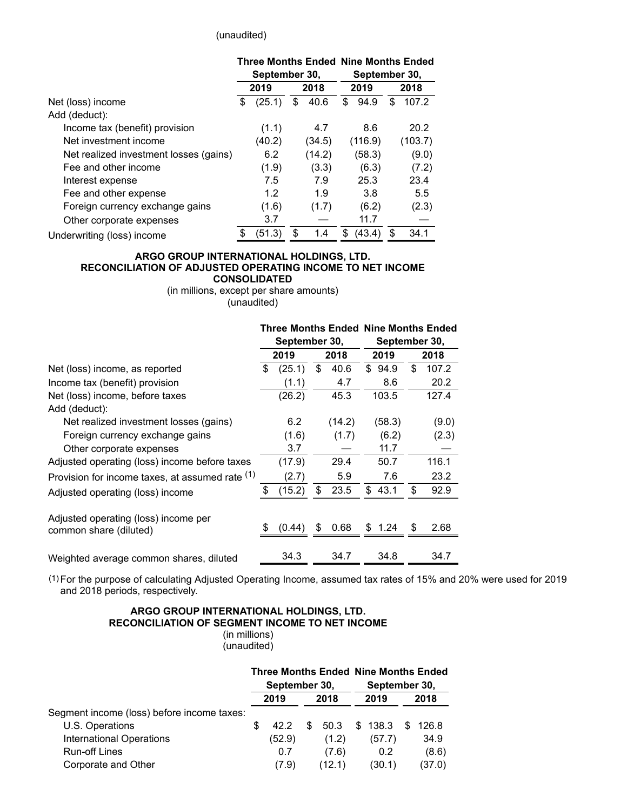#### (unaudited)

|                                        | <b>Three Months Ended Nine Months Ended</b><br>September 30, |        |      |        |     |         | September 30, |         |  |
|----------------------------------------|--------------------------------------------------------------|--------|------|--------|-----|---------|---------------|---------|--|
|                                        | 2019<br>2018                                                 |        | 2019 |        |     | 2018    |               |         |  |
| Net (loss) income                      | \$                                                           | (25.1) | \$   | 40.6   | \$  | 94.9    | \$            | 107.2   |  |
| Add (deduct):                          |                                                              |        |      |        |     |         |               |         |  |
| Income tax (benefit) provision         |                                                              | (1.1)  |      | 4.7    |     | 8.6     |               | 20.2    |  |
| Net investment income                  |                                                              | (40.2) |      | (34.5) |     | (116.9) |               | (103.7) |  |
| Net realized investment losses (gains) |                                                              | 6.2    |      | (14.2) |     | (58.3)  |               | (9.0)   |  |
| Fee and other income                   |                                                              | (1.9)  |      | (3.3)  |     | (6.3)   |               | (7.2)   |  |
| Interest expense                       |                                                              | 7.5    |      | 7.9    |     | 25.3    |               | 23.4    |  |
| Fee and other expense                  |                                                              | 1.2    |      | 1.9    |     | 3.8     |               | 5.5     |  |
| Foreign currency exchange gains        |                                                              | (1.6)  |      | (1.7)  |     | (6.2)   |               | (2.3)   |  |
| Other corporate expenses               |                                                              | 3.7    |      |        |     | 11.7    |               |         |  |
| Underwriting (loss) income             | ደ                                                            | (51.3) | \$   | 1.4    | \$. | (43.4)  | \$.           | 34.1    |  |
|                                        |                                                              |        |      |        |     |         |               |         |  |

#### **ARGO GROUP INTERNATIONAL HOLDINGS, LTD. RECONCILIATION OF ADJUSTED OPERATING INCOME TO NET INCOME CONSOLIDATED**

(in millions, except per share amounts) (unaudited)

|                                                 |               |      |        | <b>Three Months Ended Nine Months Ended</b> |               |     |       |  |  |  |  |
|-------------------------------------------------|---------------|------|--------|---------------------------------------------|---------------|-----|-------|--|--|--|--|
|                                                 | September 30, |      |        |                                             | September 30, |     |       |  |  |  |  |
|                                                 | 2019          | 2018 |        | 2019                                        |               |     | 2018  |  |  |  |  |
| Net (loss) income, as reported                  | \$<br>(25.1)  | \$   | 40.6   |                                             | \$94.9        | \$  | 107.2 |  |  |  |  |
| Income tax (benefit) provision                  | (1.1)         |      | 4.7    |                                             | 8.6           |     | 20.2  |  |  |  |  |
| Net (loss) income, before taxes                 | (26.2)        |      | 45.3   |                                             | 103.5         |     | 127.4 |  |  |  |  |
| Add (deduct):                                   |               |      |        |                                             |               |     |       |  |  |  |  |
| Net realized investment losses (gains)          | 6.2           |      | (14.2) |                                             | (58.3)        |     | (9.0) |  |  |  |  |
| Foreign currency exchange gains                 | (1.6)         |      | (1.7)  |                                             | (6.2)         |     | (2.3) |  |  |  |  |
| Other corporate expenses                        | 3.7           |      |        |                                             | 11.7          |     |       |  |  |  |  |
| Adjusted operating (loss) income before taxes   | (17.9)        |      | 29.4   |                                             | 50.7          |     | 116.1 |  |  |  |  |
| Provision for income taxes, at assumed rate (1) | (2.7)         |      | 5.9    |                                             | 7.6           |     | 23.2  |  |  |  |  |
| Adjusted operating (loss) income                | \$<br>(15.2)  | \$   | 23.5   |                                             | \$43.1        | \$  | 92.9  |  |  |  |  |
| Adjusted operating (loss) income per            |               |      |        |                                             |               |     |       |  |  |  |  |
| common share (diluted)                          | (0.44)        | S    | 0.68   |                                             | \$1.24        | \$. | 2.68  |  |  |  |  |
| Weighted average common shares, diluted         | 34.3          |      | 34.7   |                                             | 34.8          |     | 34.7  |  |  |  |  |

(1) For the purpose of calculating Adjusted Operating Income, assumed tax rates of 15% and 20% were used for 2019 and 2018 periods, respectively.

#### **ARGO GROUP INTERNATIONAL HOLDINGS, LTD. RECONCILIATION OF SEGMENT INCOME TO NET INCOME** (in millions)

(unaudited)

|                                            |     | September 30, |   |        | <b>Three Months Ended Nine Months Ended</b><br>September 30, |         |     |        |  |
|--------------------------------------------|-----|---------------|---|--------|--------------------------------------------------------------|---------|-----|--------|--|
|                                            |     | 2019          |   | 2018   |                                                              | 2019    |     | 2018   |  |
| Segment income (loss) before income taxes: |     |               |   |        |                                                              |         |     |        |  |
| U.S. Operations                            | \$. | 42.2          | S | 50.3   |                                                              | \$138.3 | \$. | 126.8  |  |
| International Operations                   |     | (52.9)        |   | (1.2)  |                                                              | (57.7)  |     | 34.9   |  |
| <b>Run-off Lines</b>                       |     | 0.7           |   | (7.6)  |                                                              | 0.2     |     | (8.6)  |  |
| Corporate and Other                        |     | (7.9)         |   | (12.1) |                                                              | (30.1)  |     | (37.0) |  |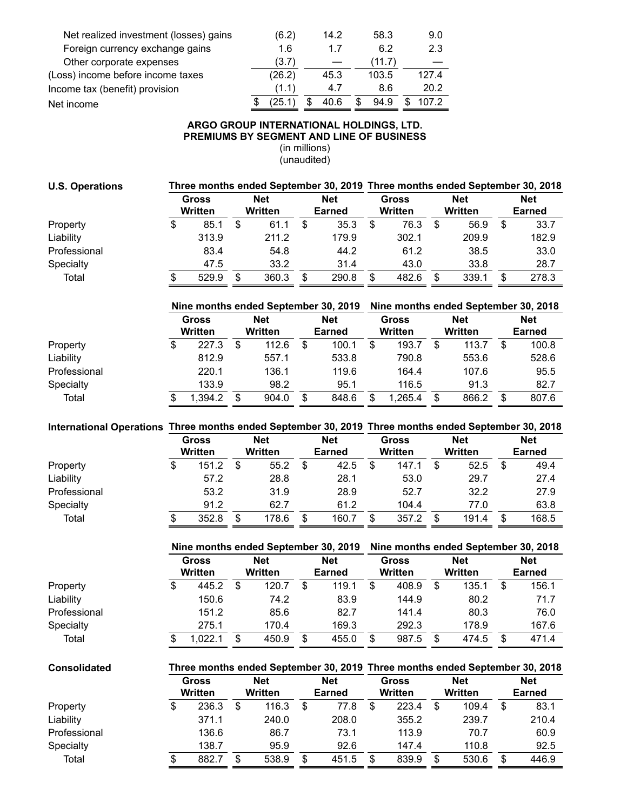| Net realized investment (losses) gains | (6.2)  | 14.2 | 58.3      | 9.0   |
|----------------------------------------|--------|------|-----------|-------|
| Foreign currency exchange gains        | 1.6    | 17   | 6.2       | 2.3   |
| Other corporate expenses               | (3.7)  |      | (11.7)    |       |
| (Loss) income before income taxes      | (26.2) | 45.3 | 103.5     | 127.4 |
| Income tax (benefit) provision         | (1.1)  | 4.7  | 8.6       | 20.2  |
| Net income                             | (25.1) | 40.6 | 94.9<br>S | 107.2 |

## **ARGO GROUP INTERNATIONAL HOLDINGS, LTD. PREMIUMS BY SEGMENT AND LINE OF BUSINESS**

(in millions) (unaudited)

| <b>U.S. Operations</b> | Three months ended September 30, 2019 Three months ended September 30, 2018 |                                |                                                                                                      |                              |            |                                      |                                |                                      |                           |                              |                                      |                                                                             |  |         |  |               |
|------------------------|-----------------------------------------------------------------------------|--------------------------------|------------------------------------------------------------------------------------------------------|------------------------------|------------|--------------------------------------|--------------------------------|--------------------------------------|---------------------------|------------------------------|--------------------------------------|-----------------------------------------------------------------------------|--|---------|--|---------------|
|                        |                                                                             | <b>Gross</b><br><b>Written</b> |                                                                                                      | <b>Net</b><br><b>Written</b> |            | <b>Net</b><br><b>Earned</b>          | <b>Gross</b><br><b>Written</b> |                                      |                           | <b>Net</b><br><b>Written</b> |                                      | <b>Net</b><br><b>Earned</b>                                                 |  |         |  |               |
| Property               | \$                                                                          | 85.1                           | \$                                                                                                   | 61.1                         | \$         | 35.3                                 | \$                             | 76.3                                 | $\boldsymbol{\mathsf{S}}$ | 56.9                         | \$                                   | 33.7                                                                        |  |         |  |               |
| Liability              |                                                                             | 313.9                          |                                                                                                      | 211.2                        |            | 179.9                                |                                | 302.1                                |                           | 209.9                        |                                      | 182.9                                                                       |  |         |  |               |
| Professional           |                                                                             | 83.4                           |                                                                                                      | 54.8                         |            | 44.2                                 |                                | 61.2                                 |                           | 38.5                         |                                      | 33.0                                                                        |  |         |  |               |
| Specialty              |                                                                             | 47.5                           |                                                                                                      | 33.2                         |            | 31.4                                 |                                | 43.0                                 |                           | 33.8                         |                                      | 28.7                                                                        |  |         |  |               |
| Total                  | \$                                                                          | 529.9                          | $\frac{1}{2}$                                                                                        | 360.3                        | \$         | 290.8                                | \$                             | 482.6                                | \$                        | 339.1                        | \$                                   | 278.3                                                                       |  |         |  |               |
|                        |                                                                             |                                |                                                                                                      |                              |            | Nine months ended September 30, 2019 |                                |                                      |                           |                              |                                      |                                                                             |  |         |  |               |
|                        |                                                                             | <b>Gross</b>                   |                                                                                                      | <b>Net</b>                   |            | <b>Net</b>                           |                                | <b>Gross</b>                         |                           | <b>Net</b>                   | Nine months ended September 30, 2018 |                                                                             |  |         |  |               |
|                        |                                                                             | <b>Written</b>                 |                                                                                                      | Written                      |            | <b>Earned</b>                        |                                | Written                              |                           | <b>Written</b>               |                                      | <b>Net</b><br><b>Earned</b>                                                 |  |         |  |               |
| Property               | \$                                                                          | 227.3                          | $\sqrt[6]{\frac{1}{2}}$                                                                              | 112.6                        | \$         | 100.1                                | $\boldsymbol{\mathsf{S}}$      | 193.7                                | $\sqrt[6]{2}$             | 113.7                        | \$                                   | 100.8                                                                       |  |         |  |               |
| Liability              |                                                                             | 812.9                          |                                                                                                      | 557.1                        |            | 533.8                                |                                | 790.8                                |                           | 553.6                        |                                      | 528.6                                                                       |  |         |  |               |
| Professional           |                                                                             | 220.1                          |                                                                                                      | 136.1                        |            | 119.6                                |                                | 164.4                                |                           | 107.6                        |                                      | 95.5                                                                        |  |         |  |               |
| Specialty              |                                                                             | 133.9                          |                                                                                                      | 98.2                         |            | 95.1                                 |                                | 116.5                                |                           | 91.3                         |                                      | 82.7                                                                        |  |         |  |               |
| Total                  | \$                                                                          | 1,394.2                        | \$                                                                                                   | 904.0                        | \$         | 848.6                                | \$                             | 1,265.4                              | \$                        | 866.2                        | \$                                   | 807.6                                                                       |  |         |  |               |
|                        |                                                                             |                                |                                                                                                      |                              |            |                                      |                                |                                      |                           |                              |                                      |                                                                             |  |         |  |               |
|                        |                                                                             |                                | International Operations Three months ended September 30, 2019 Three months ended September 30, 2018 |                              |            |                                      |                                |                                      |                           |                              |                                      |                                                                             |  |         |  |               |
|                        | <b>Gross</b>                                                                |                                | <b>Net</b>                                                                                           |                              | <b>Net</b> |                                      | <b>Gross</b>                   |                                      | <b>Net</b>                |                              |                                      | <b>Net</b>                                                                  |  |         |  |               |
|                        |                                                                             | Written                        |                                                                                                      | <b>Written</b>               |            | <b>Earned</b>                        |                                | Written                              |                           | <b>Written</b>               |                                      | <b>Earned</b>                                                               |  |         |  |               |
| Property               | \$                                                                          | 151.2                          | $\boldsymbol{\mathsf{S}}$                                                                            | 55.2                         | \$         | 42.5                                 | $\overline{\mathbf{S}}$        | 147.1                                | $\boldsymbol{\mathsf{S}}$ | 52.5                         | \$                                   | 49.4                                                                        |  |         |  |               |
| Liability              |                                                                             | 57.2                           |                                                                                                      | 28.8                         |            | 28.1                                 |                                | 53.0                                 |                           | 29.7                         |                                      | 27.4                                                                        |  |         |  |               |
| Professional           |                                                                             | 53.2                           |                                                                                                      | 31.9                         |            | 28.9                                 |                                | 52.7                                 |                           | 32.2                         |                                      | 27.9                                                                        |  |         |  |               |
| Specialty              |                                                                             | 91.2                           |                                                                                                      | 62.7                         |            | 61.2                                 |                                | 104.4                                |                           | 77.0                         |                                      | 63.8                                                                        |  |         |  |               |
| Total                  | \$                                                                          | 352.8                          | \$                                                                                                   | 178.6                        | \$         | 160.7                                | \$                             | 357.2                                | $\sqrt[6]{2}$             | 191.4                        | \$                                   | 168.5                                                                       |  |         |  |               |
|                        |                                                                             |                                |                                                                                                      |                              |            | Nine months ended September 30, 2019 |                                | Nine months ended September 30, 2018 |                           |                              |                                      |                                                                             |  |         |  |               |
|                        |                                                                             | Gross                          |                                                                                                      | <b>Net</b>                   |            | <b>Net</b>                           |                                | <b>Gross</b>                         |                           | <b>Net</b>                   | <b>Net</b>                           |                                                                             |  |         |  |               |
|                        |                                                                             |                                |                                                                                                      | <b>Written</b>               |            |                                      |                                | Written                              | <b>Earned</b>             |                              | Written                              |                                                                             |  | Written |  | <b>Earned</b> |
| Property               | \$                                                                          | 445.2                          | $\boldsymbol{\mathsf{S}}$                                                                            | 120.7                        | \$         | 119.1                                | \$                             | 408.9                                | \$                        | 135.1                        | \$                                   | 156.1                                                                       |  |         |  |               |
| Liability              |                                                                             | 150.6                          |                                                                                                      | 74.2                         |            | 83.9                                 |                                | 144.9                                |                           | 80.2                         |                                      | 71.7                                                                        |  |         |  |               |
| Professional           |                                                                             | 151.2                          |                                                                                                      | 85.6                         |            | 82.7                                 |                                | 141.4                                |                           | 80.3                         |                                      | 76.0                                                                        |  |         |  |               |
| Specialty              |                                                                             | 275.1                          |                                                                                                      | 170.4                        |            | 169.3                                |                                | 292.3                                |                           | 178.9                        |                                      | 167.6                                                                       |  |         |  |               |
| Total                  | \$                                                                          | 1,022.1                        | \$                                                                                                   | 450.9                        | \$         | 455.0                                | \$                             | 987.5                                | \$                        | 474.5                        | $\boldsymbol{\mathsf{S}}$            | 471.4                                                                       |  |         |  |               |
|                        |                                                                             |                                |                                                                                                      |                              |            |                                      |                                |                                      |                           |                              |                                      |                                                                             |  |         |  |               |
| <b>Consolidated</b>    |                                                                             |                                |                                                                                                      |                              |            |                                      |                                |                                      |                           |                              |                                      | Three months ended September 30, 2019 Three months ended September 30, 2018 |  |         |  |               |
|                        |                                                                             | <b>Gross</b>                   |                                                                                                      | <b>Net</b>                   |            | <b>Net</b>                           |                                | <b>Gross</b>                         |                           | <b>Net</b>                   |                                      | <b>Net</b>                                                                  |  |         |  |               |
|                        |                                                                             | Written                        |                                                                                                      | Written                      |            | <b>Earned</b>                        |                                | <b>Written</b>                       |                           | Written                      |                                      | <b>Earned</b>                                                               |  |         |  |               |
| Property               | \$                                                                          | 236.3                          | $\frac{1}{2}$                                                                                        | 116.3                        | \$         | 77.8                                 | $\boldsymbol{\$}$              | 223.4                                | \$                        | 109.4                        | \$                                   | 83.1                                                                        |  |         |  |               |
| Liability              |                                                                             | 371.1                          |                                                                                                      | 240.0                        |            | 208.0                                |                                | 355.2                                |                           | 239.7                        |                                      | 210.4                                                                       |  |         |  |               |
| Professional           |                                                                             | 136.6                          |                                                                                                      | 86.7                         |            | 73.1                                 |                                | 113.9                                |                           | 70.7                         |                                      | 60.9                                                                        |  |         |  |               |
| Specialty              |                                                                             | 138.7                          |                                                                                                      | 95.9                         |            | 92.6                                 |                                | 147.4                                |                           | 110.8                        |                                      | 92.5                                                                        |  |         |  |               |

Total \$ 882.7 \$ 538.9 \$ 451.5 \$ 839.9 \$ 530.6 \$ 446.9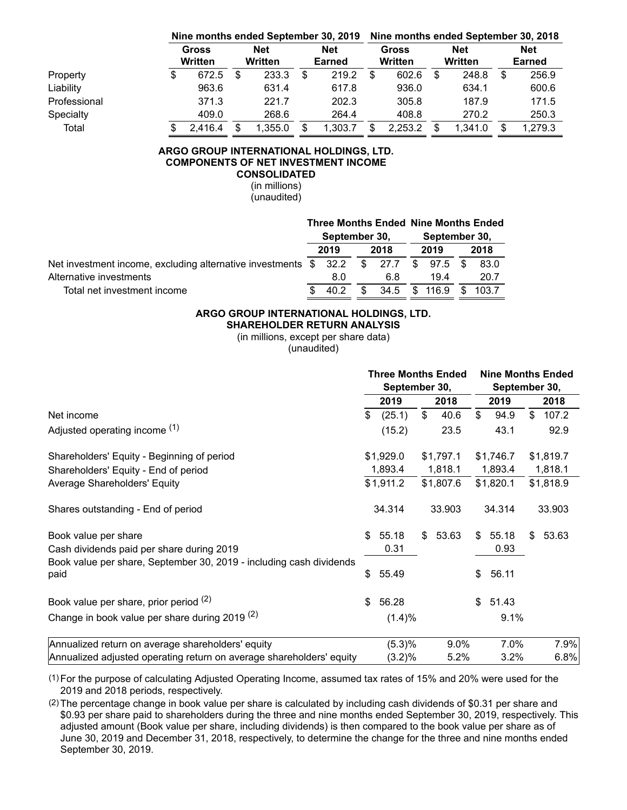|              |                  |                              |         |                             | Nine months ended September 30, 2019 | Nine months ended September 30, 2018 |         |  |                       |                             |         |  |  |  |
|--------------|------------------|------------------------------|---------|-----------------------------|--------------------------------------|--------------------------------------|---------|--|-----------------------|-----------------------------|---------|--|--|--|
|              | Gross<br>Written | <b>Net</b><br><b>Written</b> |         | <b>Net</b><br><b>Earned</b> |                                      | Gross<br>Written                     |         |  | <b>Net</b><br>Written | <b>Net</b><br><b>Earned</b> |         |  |  |  |
| Property     | \$<br>672.5      | \$.                          | 233.3   | S                           | 219.2                                |                                      | 602.6   |  | 248.8                 | S                           | 256.9   |  |  |  |
| Liability    | 963.6            |                              | 631.4   |                             | 617.8                                |                                      | 936.0   |  | 634.1                 |                             | 600.6   |  |  |  |
| Professional | 371.3            |                              | 221.7   |                             | 202.3                                |                                      | 305.8   |  | 187.9                 |                             | 171.5   |  |  |  |
| Specialty    | 409.0            |                              | 268.6   |                             | 264.4                                |                                      | 408.8   |  | 270.2                 |                             | 250.3   |  |  |  |
| Total        | 2,416.4          |                              | 1,355.0 | \$.                         | 1.303.7                              |                                      | 2,253.2 |  | 1.341.0               | S                           | 1,279.3 |  |  |  |

#### **ARGO GROUP INTERNATIONAL HOLDINGS, LTD. COMPONENTS OF NET INVESTMENT INCOME CONSOLIDATED**

(in millions) (unaudited)

|                                                                  |               |      |     |               |                        | <b>Three Months Ended Nine Months Ended</b> |      |  |
|------------------------------------------------------------------|---------------|------|-----|---------------|------------------------|---------------------------------------------|------|--|
|                                                                  | September 30, |      |     | September 30, |                        |                                             |      |  |
|                                                                  | 2019          | 2018 |     | 2019          |                        |                                             | 2018 |  |
| Net investment income, excluding alternative investments \$ 32.2 |               |      |     |               | $$27.7$ \$97.5 \$      |                                             | 83.0 |  |
| Alternative investments                                          | 8.0           |      | 6.8 |               | 194                    |                                             | 20.7 |  |
| Total net investment income                                      | 40.2          |      |     |               | 34.5 \$ 116.9 \$ 103.7 |                                             |      |  |

# **ARGO GROUP INTERNATIONAL HOLDINGS, LTD.**

**SHAREHOLDER RETURN ANALYSIS**

(in millions, except per share data)

(unaudited)

|                                                                             |      | <b>Three Months Ended</b><br>September 30, |       |           |                | <b>Nine Months Ended</b><br>September 30, |           |           |
|-----------------------------------------------------------------------------|------|--------------------------------------------|-------|-----------|----------------|-------------------------------------------|-----------|-----------|
|                                                                             | 2019 |                                            |       | 2018      |                | 2019                                      |           | 2018      |
| Net income                                                                  | \$   | (25.1)                                     | $\$\$ | 40.6      | $\mathfrak{S}$ | 94.9                                      | \$        | 107.2     |
| Adjusted operating income (1)                                               |      | (15.2)                                     |       | 23.5      |                | 43.1                                      |           | 92.9      |
| Shareholders' Equity - Beginning of period                                  |      | \$1,929.0                                  |       | \$1,797.1 |                | \$1,746.7                                 |           | \$1,819.7 |
| Shareholders' Equity - End of period                                        |      | 1,893.4                                    |       | 1,818.1   |                | 1,893.4                                   |           | 1,818.1   |
| Average Shareholders' Equity                                                |      | \$1,911.2                                  |       | \$1,807.6 |                | \$1,820.1                                 | \$1,818.9 |           |
| Shares outstanding - End of period                                          |      | 34.314                                     |       | 33.903    |                | 34.314                                    |           | 33.903    |
| Book value per share                                                        | \$   | 55.18                                      | \$    | 53.63     | \$             | 55.18                                     | \$        | 53.63     |
| Cash dividends paid per share during 2019                                   |      | 0.31                                       |       |           |                | 0.93                                      |           |           |
| Book value per share, September 30, 2019 - including cash dividends<br>paid | \$   | 55.49                                      |       |           | \$             | 56.11                                     |           |           |
| Book value per share, prior period (2)                                      | \$   | 56.28                                      |       |           | \$             | 51.43                                     |           |           |
| Change in book value per share during 2019 $(2)$                            |      | (1.4)%                                     |       |           |                | 9.1%                                      |           |           |
| Annualized return on average shareholders' equity                           |      | (5.3)%                                     |       | 9.0%      |                | 7.0%                                      |           | 7.9%      |
| Annualized adjusted operating return on average shareholders' equity        |      | (3.2)%                                     |       | 5.2%      |                | $3.2\%$                                   |           | 6.8%      |

(1) For the purpose of calculating Adjusted Operating Income, assumed tax rates of 15% and 20% were used for the 2019 and 2018 periods, respectively.

(2) The percentage change in book value per share is calculated by including cash dividends of \$0.31 per share and \$0.93 per share paid to shareholders during the three and nine months ended September 30, 2019, respectively. This adjusted amount (Book value per share, including dividends) is then compared to the book value per share as of June 30, 2019 and December 31, 2018, respectively, to determine the change for the three and nine months ended September 30, 2019.